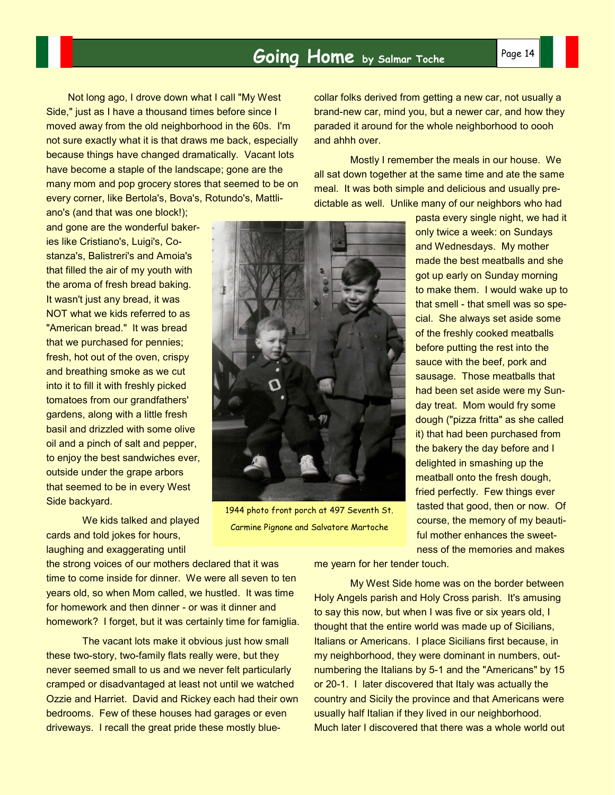## **Going Home** by Salmar Toche Page 14

Not long ago, I drove down what I call "My West Side," just as I have a thousand times before since I moved away from the old neighborhood in the 60s. I'm not sure exactly what it is that draws me back, especially because things have changed dramatically. Vacant lots have become a staple of the landscape; gone are the many mom and pop grocery stores that seemed to be on every corner, like Bertola's, Bova's, Rotundo's, Mattli-

ano's (and that was one block!); and gone are the wonderful bakeries like Cristiano's, Luigi's, Costanza's, Balistreri's and Amoia's that filled the air of my youth with the aroma of fresh bread baking. It wasn't just any bread, it was NOT what we kids referred to as "American bread." It was bread that we purchased for pennies; fresh, hot out of the oven, crispy and breathing smoke as we cut into it to fill it with freshly picked tomatoes from our grandfathers' gardens, along with a little fresh basil and drizzled with some olive oil and a pinch of salt and pepper, to enjoy the best sandwiches ever, outside under the grape arbors that seemed to be in every West Side backyard.

 We kids talked and played cards and told jokes for hours, laughing and exaggerating until

the strong voices of our mothers declared that it was time to come inside for dinner. We were all seven to ten years old, so when Mom called, we hustled. It was time for homework and then dinner - or was it dinner and homework? I forget, but it was certainly time for famiglia.

 The vacant lots make it obvious just how small these two-story, two-family flats really were, but they never seemed small to us and we never felt particularly cramped or disadvantaged at least not until we watched Ozzie and Harriet. David and Rickey each had their own bedrooms. Few of these houses had garages or even driveways. I recall the great pride these mostly bluecollar folks derived from getting a new car, not usually a brand-new car, mind you, but a newer car, and how they paraded it around for the whole neighborhood to oooh and ahhh over.

 Mostly I remember the meals in our house. We all sat down together at the same time and ate the same meal. It was both simple and delicious and usually predictable as well. Unlike many of our neighbors who had

> pasta every single night, we had it only twice a week: on Sundays and Wednesdays. My mother made the best meatballs and she got up early on Sunday morning to make them. I would wake up to that smell - that smell was so special. She always set aside some of the freshly cooked meatballs before putting the rest into the sauce with the beef, pork and sausage. Those meatballs that had been set aside were my Sunday treat. Mom would fry some dough ("pizza fritta" as she called it) that had been purchased from the bakery the day before and I delighted in smashing up the meatball onto the fresh dough, fried perfectly. Few things ever tasted that good, then or now. Of course, the memory of my beautiful mother enhances the sweetness of the memories and makes

me yearn for her tender touch.

 My West Side home was on the border between Holy Angels parish and Holy Cross parish. It's amusing to say this now, but when I was five or six years old, I thought that the entire world was made up of Sicilians, Italians or Americans. I place Sicilians first because, in my neighborhood, they were dominant in numbers, outnumbering the Italians by 5-1 and the "Americans" by 15 or 20-1. I later discovered that Italy was actually the country and Sicily the province and that Americans were usually half Italian if they lived in our neighborhood. Much later I discovered that there was a whole world out



Carmine Pignone and Salvatore Martoche